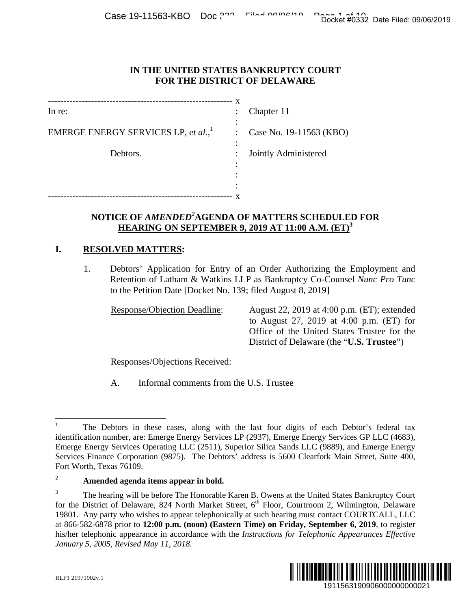Case 19-11563-KBO Doc 322 Filed 00/06/10 Page 14:10 Docket #0332 Date Filed: 09/06/2019

#### **IN THE UNITED STATES BANKRUPTCY COURT FOR THE DISTRICT OF DELAWARE**

|                                         | X         |                         |
|-----------------------------------------|-----------|-------------------------|
| In re:                                  |           | Chapter 11              |
| EMERGE ENERGY SERVICES LP, et al., $^1$ | $\bullet$ | Case No. 19-11563 (KBO) |
| Debtors.                                |           | Jointly Administered    |
|                                         |           |                         |
|                                         |           |                         |
|                                         |           |                         |

# **NOTICE OF** *AMENDED<sup>2</sup>* **AGENDA OF MATTERS SCHEDULED FOR HEARING ON SEPTEMBER 9, 2019 AT 11:00 A.M. (ET)<sup>3</sup>**

## **I. RESOLVED MATTERS:**

1. Debtors' Application for Entry of an Order Authorizing the Employment and Retention of Latham & Watkins LLP as Bankruptcy Co-Counsel *Nunc Pro Tunc* to the Petition Date [Docket No. 139; filed August 8, 2019]

Response/Objection Deadline: August 22, 2019 at 4:00 p.m. (ET); extended to August 27, 2019 at 4:00 p.m. (ET) for Office of the United States Trustee for the District of Delaware (the "**U.S. Trustee**")

Responses/Objections Received:

A. Informal comments from the U.S. Trustee

<sup>3</sup> The hearing will be before The Honorable Karen B. Owens at the United States Bankruptcy Court for the District of Delaware, 824 North Market Street, 6<sup>th</sup> Floor, Courtroom 2, Wilmington, Delaware 19801. Any party who wishes to appear telephonically at such hearing must contact COURTCALL, LLC at 866-582-6878 prior to **12:00 p.m. (noon) (Eastern Time) on Friday, September 6, 2019**, to register his/her telephonic appearance in accordance with the *Instructions for Telephonic Appearances Effective January 5, 2005, Revised May 11, 2018.* 1911563190906000000000021 Docket #0332 Date Filed: 09/06/2019



 $\overline{a}$ 

<sup>1</sup> The Debtors in these cases, along with the last four digits of each Debtor's federal tax identification number, are: Emerge Energy Services LP (2937), Emerge Energy Services GP LLC (4683), Emerge Energy Services Operating LLC (2511), Superior Silica Sands LLC (9889), and Emerge Energy Services Finance Corporation (9875). The Debtors' address is 5600 Clearfork Main Street, Suite 400, Fort Worth, Texas 76109.

**<sup>2</sup> Amended agenda items appear in bold.**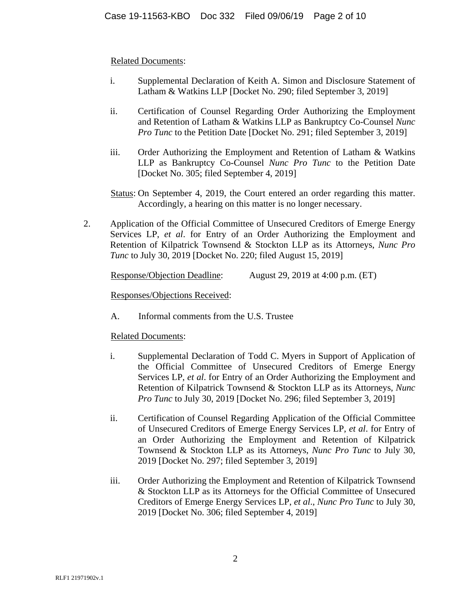## Related Documents:

- i. Supplemental Declaration of Keith A. Simon and Disclosure Statement of Latham & Watkins LLP [Docket No. 290; filed September 3, 2019]
- ii. Certification of Counsel Regarding Order Authorizing the Employment and Retention of Latham & Watkins LLP as Bankruptcy Co-Counsel *Nunc Pro Tunc* to the Petition Date [Docket No. 291; filed September 3, 2019]
- iii. Order Authorizing the Employment and Retention of Latham & Watkins LLP as Bankruptcy Co-Counsel *Nunc Pro Tunc* to the Petition Date [Docket No. 305; filed September 4, 2019]
- Status: On September 4, 2019, the Court entered an order regarding this matter. Accordingly, a hearing on this matter is no longer necessary.
- 2. Application of the Official Committee of Unsecured Creditors of Emerge Energy Services LP, *et al*. for Entry of an Order Authorizing the Employment and Retention of Kilpatrick Townsend & Stockton LLP as its Attorneys, *Nunc Pro Tunc* to July 30, 2019 [Docket No. 220; filed August 15, 2019]

|  |  |  | Response/Objection Deadline: |  | August 29, 2019 at 4:00 p.m. (ET) |  |
|--|--|--|------------------------------|--|-----------------------------------|--|
|--|--|--|------------------------------|--|-----------------------------------|--|

Responses/Objections Received:

A. Informal comments from the U.S. Trustee

Related Documents:

- i. Supplemental Declaration of Todd C. Myers in Support of Application of the Official Committee of Unsecured Creditors of Emerge Energy Services LP, *et al*. for Entry of an Order Authorizing the Employment and Retention of Kilpatrick Townsend & Stockton LLP as its Attorneys, *Nunc Pro Tunc* to July 30, 2019 [Docket No. 296; filed September 3, 2019]
- ii. Certification of Counsel Regarding Application of the Official Committee of Unsecured Creditors of Emerge Energy Services LP, *et al*. for Entry of an Order Authorizing the Employment and Retention of Kilpatrick Townsend & Stockton LLP as its Attorneys, *Nunc Pro Tunc* to July 30, 2019 [Docket No. 297; filed September 3, 2019]
- iii. Order Authorizing the Employment and Retention of Kilpatrick Townsend & Stockton LLP as its Attorneys for the Official Committee of Unsecured Creditors of Emerge Energy Services LP, *et al*., *Nunc Pro Tunc* to July 30, 2019 [Docket No. 306; filed September 4, 2019]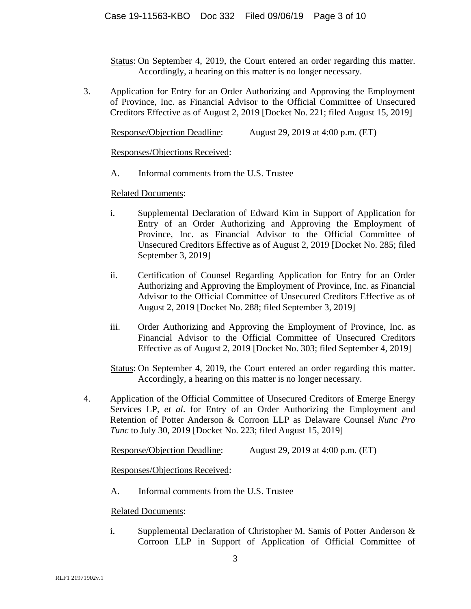Status: On September 4, 2019, the Court entered an order regarding this matter. Accordingly, a hearing on this matter is no longer necessary.

3. Application for Entry for an Order Authorizing and Approving the Employment of Province, Inc. as Financial Advisor to the Official Committee of Unsecured Creditors Effective as of August 2, 2019 [Docket No. 221; filed August 15, 2019]

Response/Objection Deadline: August 29, 2019 at 4:00 p.m. (ET)

Responses/Objections Received:

A. Informal comments from the U.S. Trustee

Related Documents:

- i. Supplemental Declaration of Edward Kim in Support of Application for Entry of an Order Authorizing and Approving the Employment of Province, Inc. as Financial Advisor to the Official Committee of Unsecured Creditors Effective as of August 2, 2019 [Docket No. 285; filed September 3, 2019]
- ii. Certification of Counsel Regarding Application for Entry for an Order Authorizing and Approving the Employment of Province, Inc. as Financial Advisor to the Official Committee of Unsecured Creditors Effective as of August 2, 2019 [Docket No. 288; filed September 3, 2019]
- iii. Order Authorizing and Approving the Employment of Province, Inc. as Financial Advisor to the Official Committee of Unsecured Creditors Effective as of August 2, 2019 [Docket No. 303; filed September 4, 2019]

Status: On September 4, 2019, the Court entered an order regarding this matter. Accordingly, a hearing on this matter is no longer necessary.

4. Application of the Official Committee of Unsecured Creditors of Emerge Energy Services LP, *et al*. for Entry of an Order Authorizing the Employment and Retention of Potter Anderson & Corroon LLP as Delaware Counsel *Nunc Pro Tunc* to July 30, 2019 [Docket No. 223; filed August 15, 2019]

Response/Objection Deadline: August 29, 2019 at 4:00 p.m. (ET)

Responses/Objections Received:

A. Informal comments from the U.S. Trustee

Related Documents:

i. Supplemental Declaration of Christopher M. Samis of Potter Anderson & Corroon LLP in Support of Application of Official Committee of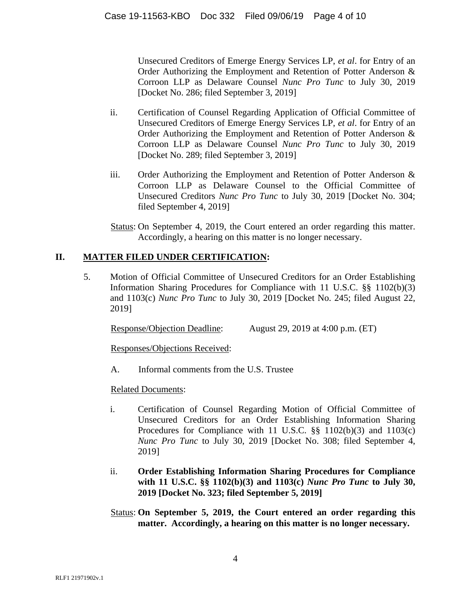Unsecured Creditors of Emerge Energy Services LP, *et al*. for Entry of an Order Authorizing the Employment and Retention of Potter Anderson & Corroon LLP as Delaware Counsel *Nunc Pro Tunc* to July 30, 2019 [Docket No. 286; filed September 3, 2019]

- ii. Certification of Counsel Regarding Application of Official Committee of Unsecured Creditors of Emerge Energy Services LP, *et al*. for Entry of an Order Authorizing the Employment and Retention of Potter Anderson & Corroon LLP as Delaware Counsel *Nunc Pro Tunc* to July 30, 2019 [Docket No. 289; filed September 3, 2019]
- iii. Order Authorizing the Employment and Retention of Potter Anderson & Corroon LLP as Delaware Counsel to the Official Committee of Unsecured Creditors *Nunc Pro Tunc* to July 30, 2019 [Docket No. 304; filed September 4, 2019]
- Status: On September 4, 2019, the Court entered an order regarding this matter. Accordingly, a hearing on this matter is no longer necessary.

# **II. MATTER FILED UNDER CERTIFICATION:**

5. Motion of Official Committee of Unsecured Creditors for an Order Establishing Information Sharing Procedures for Compliance with 11 U.S.C. §§ 1102(b)(3) and 1103(c) *Nunc Pro Tunc* to July 30, 2019 [Docket No. 245; filed August 22, 2019]

Response/Objection Deadline: August 29, 2019 at 4:00 p.m. (ET)

Responses/Objections Received:

A. Informal comments from the U.S. Trustee

# Related Documents:

- i. Certification of Counsel Regarding Motion of Official Committee of Unsecured Creditors for an Order Establishing Information Sharing Procedures for Compliance with 11 U.S.C.  $\S\S$  1102(b)(3) and 1103(c) *Nunc Pro Tunc* to July 30, 2019 [Docket No. 308; filed September 4, 2019]
- ii. **Order Establishing Information Sharing Procedures for Compliance with 11 U.S.C. §§ 1102(b)(3) and 1103(c)** *Nunc Pro Tunc* **to July 30, 2019 [Docket No. 323; filed September 5, 2019]**
- Status: **On September 5, 2019, the Court entered an order regarding this matter. Accordingly, a hearing on this matter is no longer necessary.**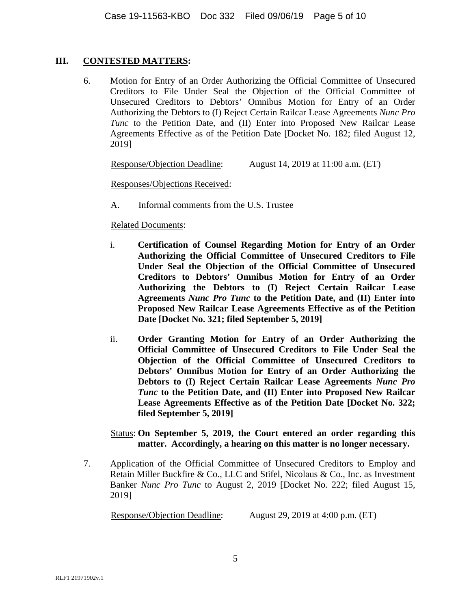#### **III. CONTESTED MATTERS:**

6. Motion for Entry of an Order Authorizing the Official Committee of Unsecured Creditors to File Under Seal the Objection of the Official Committee of Unsecured Creditors to Debtors' Omnibus Motion for Entry of an Order Authorizing the Debtors to (I) Reject Certain Railcar Lease Agreements *Nunc Pro Tunc* to the Petition Date, and (II) Enter into Proposed New Railcar Lease Agreements Effective as of the Petition Date [Docket No. 182; filed August 12, 2019]

Response/Objection Deadline: August 14, 2019 at 11:00 a.m. (ET)

Responses/Objections Received:

A. Informal comments from the U.S. Trustee

## Related Documents:

- i. **Certification of Counsel Regarding Motion for Entry of an Order Authorizing the Official Committee of Unsecured Creditors to File Under Seal the Objection of the Official Committee of Unsecured Creditors to Debtors' Omnibus Motion for Entry of an Order Authorizing the Debtors to (I) Reject Certain Railcar Lease Agreements** *Nunc Pro Tunc* **to the Petition Date, and (II) Enter into Proposed New Railcar Lease Agreements Effective as of the Petition Date [Docket No. 321; filed September 5, 2019]**
- ii. **Order Granting Motion for Entry of an Order Authorizing the Official Committee of Unsecured Creditors to File Under Seal the Objection of the Official Committee of Unsecured Creditors to Debtors' Omnibus Motion for Entry of an Order Authorizing the Debtors to (I) Reject Certain Railcar Lease Agreements** *Nunc Pro Tunc* **to the Petition Date, and (II) Enter into Proposed New Railcar Lease Agreements Effective as of the Petition Date [Docket No. 322; filed September 5, 2019]**

## Status: **On September 5, 2019, the Court entered an order regarding this matter. Accordingly, a hearing on this matter is no longer necessary.**

7. Application of the Official Committee of Unsecured Creditors to Employ and Retain Miller Buckfire & Co., LLC and Stifel, Nicolaus & Co., Inc. as Investment Banker *Nunc Pro Tunc* to August 2, 2019 [Docket No. 222; filed August 15, 2019]

Response/Objection Deadline: August 29, 2019 at 4:00 p.m. (ET)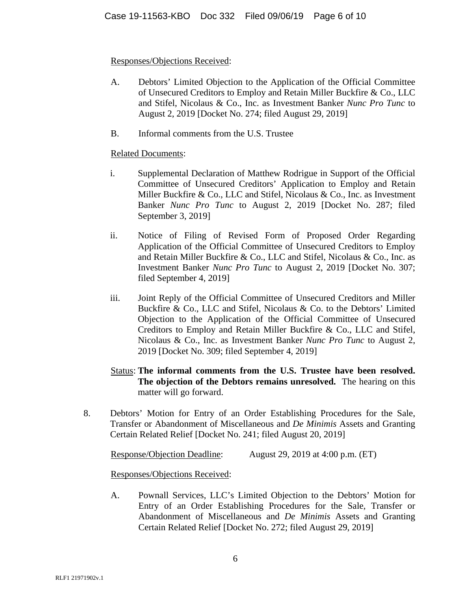## Responses/Objections Received:

- A. Debtors' Limited Objection to the Application of the Official Committee of Unsecured Creditors to Employ and Retain Miller Buckfire & Co., LLC and Stifel, Nicolaus & Co., Inc. as Investment Banker *Nunc Pro Tunc* to August 2, 2019 [Docket No. 274; filed August 29, 2019]
- B. Informal comments from the U.S. Trustee

## Related Documents:

- i. Supplemental Declaration of Matthew Rodrigue in Support of the Official Committee of Unsecured Creditors' Application to Employ and Retain Miller Buckfire & Co., LLC and Stifel, Nicolaus & Co., Inc. as Investment Banker *Nunc Pro Tunc* to August 2, 2019 [Docket No. 287; filed September 3, 2019]
- ii. Notice of Filing of Revised Form of Proposed Order Regarding Application of the Official Committee of Unsecured Creditors to Employ and Retain Miller Buckfire & Co., LLC and Stifel, Nicolaus & Co., Inc. as Investment Banker *Nunc Pro Tunc* to August 2, 2019 [Docket No. 307; filed September 4, 2019]
- iii. Joint Reply of the Official Committee of Unsecured Creditors and Miller Buckfire & Co., LLC and Stifel, Nicolaus & Co. to the Debtors' Limited Objection to the Application of the Official Committee of Unsecured Creditors to Employ and Retain Miller Buckfire & Co., LLC and Stifel, Nicolaus & Co., Inc. as Investment Banker *Nunc Pro Tunc* to August 2, 2019 [Docket No. 309; filed September 4, 2019]
- Status: **The informal comments from the U.S. Trustee have been resolved. The objection of the Debtors remains unresolved.** The hearing on this matter will go forward.
- 8. Debtors' Motion for Entry of an Order Establishing Procedures for the Sale, Transfer or Abandonment of Miscellaneous and *De Minimis* Assets and Granting Certain Related Relief [Docket No. 241; filed August 20, 2019]

Response/Objection Deadline: August 29, 2019 at 4:00 p.m. (ET)

Responses/Objections Received:

A. Pownall Services, LLC's Limited Objection to the Debtors' Motion for Entry of an Order Establishing Procedures for the Sale, Transfer or Abandonment of Miscellaneous and *De Minimis* Assets and Granting Certain Related Relief [Docket No. 272; filed August 29, 2019]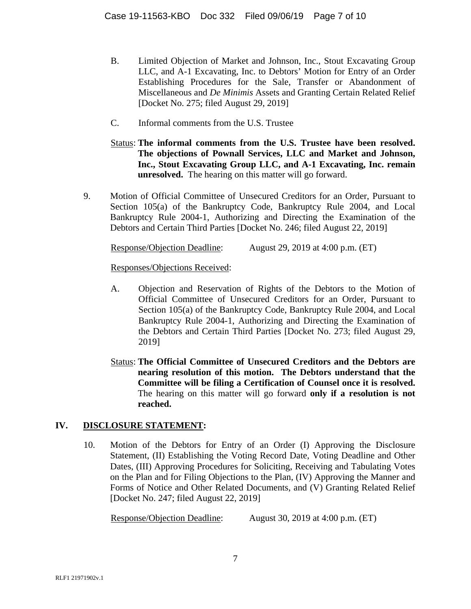- B. Limited Objection of Market and Johnson, Inc., Stout Excavating Group LLC, and A-1 Excavating, Inc. to Debtors' Motion for Entry of an Order Establishing Procedures for the Sale, Transfer or Abandonment of Miscellaneous and *De Minimis* Assets and Granting Certain Related Relief [Docket No. 275; filed August 29, 2019]
- C. Informal comments from the U.S. Trustee
- Status: **The informal comments from the U.S. Trustee have been resolved. The objections of Pownall Services, LLC and Market and Johnson, Inc., Stout Excavating Group LLC, and A-1 Excavating, Inc. remain unresolved.** The hearing on this matter will go forward.
- 9. Motion of Official Committee of Unsecured Creditors for an Order, Pursuant to Section 105(a) of the Bankruptcy Code, Bankruptcy Rule 2004, and Local Bankruptcy Rule 2004-1, Authorizing and Directing the Examination of the Debtors and Certain Third Parties [Docket No. 246; filed August 22, 2019]

Response/Objection Deadline: August 29, 2019 at 4:00 p.m. (ET)

Responses/Objections Received:

- A. Objection and Reservation of Rights of the Debtors to the Motion of Official Committee of Unsecured Creditors for an Order, Pursuant to Section 105(a) of the Bankruptcy Code, Bankruptcy Rule 2004, and Local Bankruptcy Rule 2004-1, Authorizing and Directing the Examination of the Debtors and Certain Third Parties [Docket No. 273; filed August 29, 2019]
- Status: **The Official Committee of Unsecured Creditors and the Debtors are nearing resolution of this motion. The Debtors understand that the Committee will be filing a Certification of Counsel once it is resolved.** The hearing on this matter will go forward **only if a resolution is not reached.**

# **IV. DISCLOSURE STATEMENT:**

10. Motion of the Debtors for Entry of an Order (I) Approving the Disclosure Statement, (II) Establishing the Voting Record Date, Voting Deadline and Other Dates, (III) Approving Procedures for Soliciting, Receiving and Tabulating Votes on the Plan and for Filing Objections to the Plan, (IV) Approving the Manner and Forms of Notice and Other Related Documents, and (V) Granting Related Relief [Docket No. 247; filed August 22, 2019]

Response/Objection Deadline: August 30, 2019 at 4:00 p.m. (ET)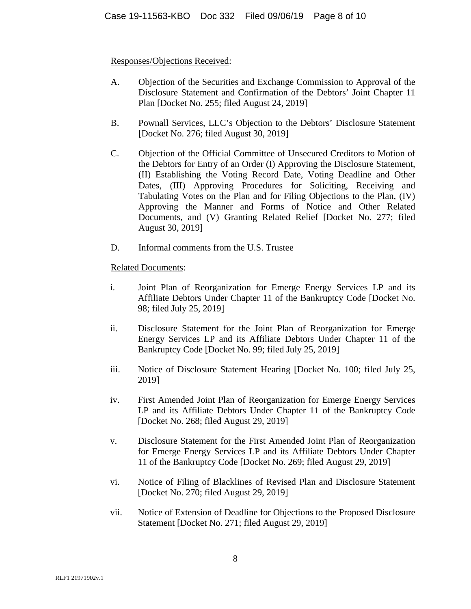## Responses/Objections Received:

- A. Objection of the Securities and Exchange Commission to Approval of the Disclosure Statement and Confirmation of the Debtors' Joint Chapter 11 Plan [Docket No. 255; filed August 24, 2019]
- B. Pownall Services, LLC's Objection to the Debtors' Disclosure Statement [Docket No. 276; filed August 30, 2019]
- C. Objection of the Official Committee of Unsecured Creditors to Motion of the Debtors for Entry of an Order (I) Approving the Disclosure Statement, (II) Establishing the Voting Record Date, Voting Deadline and Other Dates, (III) Approving Procedures for Soliciting, Receiving and Tabulating Votes on the Plan and for Filing Objections to the Plan, (IV) Approving the Manner and Forms of Notice and Other Related Documents, and (V) Granting Related Relief [Docket No. 277; filed August 30, 2019]
- D. Informal comments from the U.S. Trustee

## Related Documents:

- i. Joint Plan of Reorganization for Emerge Energy Services LP and its Affiliate Debtors Under Chapter 11 of the Bankruptcy Code [Docket No. 98; filed July 25, 2019]
- ii. Disclosure Statement for the Joint Plan of Reorganization for Emerge Energy Services LP and its Affiliate Debtors Under Chapter 11 of the Bankruptcy Code [Docket No. 99; filed July 25, 2019]
- iii. Notice of Disclosure Statement Hearing [Docket No. 100; filed July 25, 2019]
- iv. First Amended Joint Plan of Reorganization for Emerge Energy Services LP and its Affiliate Debtors Under Chapter 11 of the Bankruptcy Code [Docket No. 268; filed August 29, 2019]
- v. Disclosure Statement for the First Amended Joint Plan of Reorganization for Emerge Energy Services LP and its Affiliate Debtors Under Chapter 11 of the Bankruptcy Code [Docket No. 269; filed August 29, 2019]
- vi. Notice of Filing of Blacklines of Revised Plan and Disclosure Statement [Docket No. 270; filed August 29, 2019]
- vii. Notice of Extension of Deadline for Objections to the Proposed Disclosure Statement [Docket No. 271; filed August 29, 2019]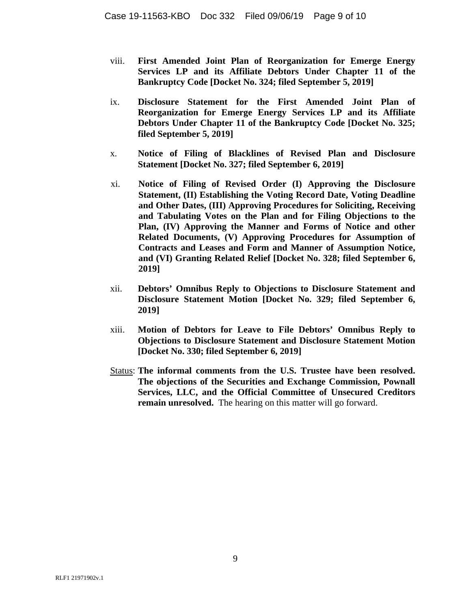- viii. **First Amended Joint Plan of Reorganization for Emerge Energy Services LP and its Affiliate Debtors Under Chapter 11 of the Bankruptcy Code [Docket No. 324; filed September 5, 2019]**
- ix. **Disclosure Statement for the First Amended Joint Plan of Reorganization for Emerge Energy Services LP and its Affiliate Debtors Under Chapter 11 of the Bankruptcy Code [Docket No. 325; filed September 5, 2019]**
- x. **Notice of Filing of Blacklines of Revised Plan and Disclosure Statement [Docket No. 327; filed September 6, 2019]**
- xi. **Notice of Filing of Revised Order (I) Approving the Disclosure Statement, (II) Establishing the Voting Record Date, Voting Deadline and Other Dates, (III) Approving Procedures for Soliciting, Receiving and Tabulating Votes on the Plan and for Filing Objections to the Plan, (IV) Approving the Manner and Forms of Notice and other Related Documents, (V) Approving Procedures for Assumption of Contracts and Leases and Form and Manner of Assumption Notice, and (VI) Granting Related Relief [Docket No. 328; filed September 6, 2019]**
- xii. **Debtors' Omnibus Reply to Objections to Disclosure Statement and Disclosure Statement Motion [Docket No. 329; filed September 6, 2019]**
- xiii. **Motion of Debtors for Leave to File Debtors' Omnibus Reply to Objections to Disclosure Statement and Disclosure Statement Motion [Docket No. 330; filed September 6, 2019]**
- Status: **The informal comments from the U.S. Trustee have been resolved. The objections of the Securities and Exchange Commission, Pownall Services, LLC, and the Official Committee of Unsecured Creditors remain unresolved.** The hearing on this matter will go forward.